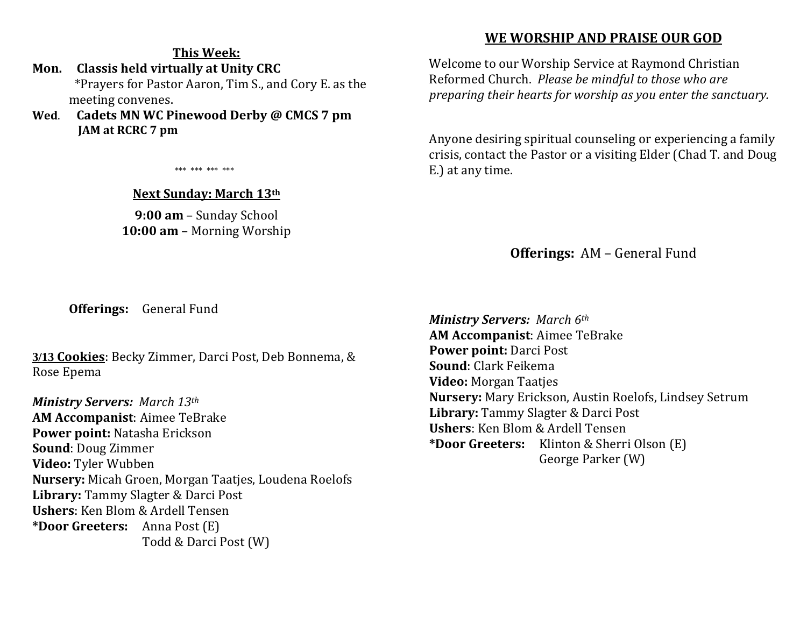## **This Week:**

**Mon. Classis held virtually at Unity CRC** \*Prayers for Pastor Aaron, Tim S., and Cory E. as the meeting convenes.

**Wed**. **Cadets MN WC Pinewood Derby @ CMCS 7 pm JAM at RCRC 7 pm** 

\*\*\* \*\*\* \*\*\* \*\*\*

#### **Next Sunday: March 13th**

**9:00 am** – Sunday School **10:00 am** – Morning Worship

## **WE WORSHIP AND PRAISE OUR GOD**

Welcome to our Worship Service at Raymond Christian Reformed Church. *Please be mindful to those who are preparing their hearts for worship as you enter the sanctuary.*

Anyone desiring spiritual counseling or experiencing a family crisis, contact the Pastor or a visiting Elder (Chad T. and Doug E.) at any time.

**Offerings:** AM – General Fund

**Offerings:** General Fund

**3/13 Cookies**: Becky Zimmer, Darci Post, Deb Bonnema, & Rose Epema

*Ministry Servers: March 13th*  **AM Accompanist**: Aimee TeBrake **Power point:** Natasha Erickson **Sound**: Doug Zimmer **Video:** Tyler Wubben **Nursery:** Micah Groen, Morgan Taatjes, Loudena Roelofs **Library:** Tammy Slagter & Darci Post **Ushers**: Ken Blom & Ardell Tensen **\*Door Greeters:** Anna Post (E) Todd & Darci Post (W)

*Ministry Servers: March 6th*  **AM Accompanist**: Aimee TeBrake **Power point:** Darci Post **Sound**: Clark Feikema **Video:** Morgan Taatjes **Nursery:** Mary Erickson, Austin Roelofs, Lindsey Setrum **Library:** Tammy Slagter & Darci Post **Ushers**: Ken Blom & Ardell Tensen **\*Door Greeters:** Klinton & Sherri Olson (E) George Parker (W)